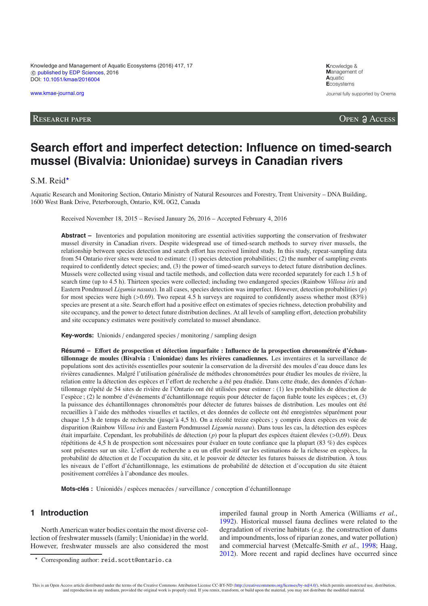Knowledge and Management of Aquatic Ecosystems (2016) 417, 17 © [published by EDP Sciences,](http://www.edpsciences.org) 2016 DOI: [10.1051/kmae/2016004](http://dx.doi.org/10.1051/kmae/2016004)

[www.kmae-journal.org](http://www.kmae-journal.org)

**K**nowledge & **M**anagement of **A**quatic **E**cosystems Journal fully supported by Onema

RESEARCH PAPER **OPEN ACCESS** 

# **Search effort and imperfect detection: Influence on timed-search mussel (Bivalvia: Unionidae) surveys in Canadian rivers**

S.M. Reid $\star$ 

Aquatic Research and Monitoring Section, Ontario Ministry of Natural Resources and Forestry, Trent University – DNA Building, 1600 West Bank Drive, Peterborough, Ontario, K9L 0G2, Canada

Received November 18, 2015 – Revised January 26, 2016 – Accepted February 4, 2016

**Abstract –** Inventories and population monitoring are essential activities supporting the conservation of freshwater mussel diversity in Canadian rivers. Despite widespread use of timed-search methods to survey river mussels, the relationship between species detection and search effort has received limited study. In this study, repeat-sampling data from 54 Ontario river sites were used to estimate: (1) species detection probabilities; (2) the number of sampling events required to confidently detect species; and, (3) the power of timed-search surveys to detect future distribution declines. Mussels were collected using visual and tactile methods, and collection data were recorded separately for each 1.5 h of search time (up to 4.5 h). Thirteen species were collected; including two endangered species (Rainbow *Villosa iris* and Eastern Pondmussel *Ligumia nasuta*). In all cases, species detection was imperfect. However, detection probabilities (*p*) for most species were high ( $> 0.69$ ). Two repeat 4.5 h surveys are required to confidently assess whether most (83%) species are present at a site. Search effort had a positive effect on estimates of species richness, detection probability and site occupancy, and the power to detect future distribution declines. At all levels of sampling effort, detection probability and site occupancy estimates were positively correlated to mussel abundance.

**Key-words:** Unionids / endangered species / monitoring / sampling design

**Résumé – E**ff**ort de prospection et détection imparfaite : Influence de la prospection chronométrée d'échantillonnage de moules (Bivalvia : Unionidae) dans les rivières canadiennes.** Les inventaires et la surveillance de populations sont des activités essentielles pour soutenir la conservation de la diversité des moules d'eau douce dans les rivières canadiennes. Malgré l'utilisation généralisée de méthodes chronométrées pour étudier les moules de rivière, la relation entre la détection des espèces et l'effort de recherche a été peu étudiée. Dans cette étude, des données d'échantillonnage répété de 54 sites de rivière de l'Ontario ont été utilisées pour estimer : (1) les probabilités de détection de l'espèce ; (2) le nombre d'événements d'échantillonnage requis pour détecter de façon fiable toute les espèces ; et, (3) la puissance des échantillonnages chronométrés pour détecter de futures baisses de distribution. Les moules ont été recueillies à l'aide des méthodes visuelles et tactiles, et des données de collecte ont été enregistrées séparément pour chaque 1,5 h de temps de recherche (jusqu'à 4,5 h). On a récolté treize espèces ; y compris deux espèces en voie de disparition (Rainbow *Villosa iris* and Eastern Pondmussel *Ligumia nasuta*). Dans tous les cas, la détection des espèces était imparfaite. Cependant, les probabilités de détection (*p*) pour la plupart des espèces étaient élevées (>0,69). Deux répétitions de 4,5 h de prospection sont nécessaires pour évaluer en toute confiance que la plupart (83 %) des espèces sont présentes sur un site. L'effort de recherche a eu un effet positif sur les estimations de la richesse en espèces, la probabilité de détection et de l'occupation du site, et le pouvoir de détecter les futures baisses de distribution. À tous les niveaux de l'effort d'échantillonnage, les estimations de probabilité de détection et d'occupation du site étaient positivement corrélées à l'abondance des moules.

**Mots-clés :** Unionidés / espèces menacées / surveillance / conception d'échantillonnage

# **1 Introduction**

North American water bodies contain the most diverse collection of freshwater mussels (family: Unionidae) in the world. However, freshwater mussels are also considered the most imperiled faunal group in North America (Williams *et al.*, [1992\)](#page-7-0). Historical mussel fauna declines were related to the degradation of riverine habitats (*e.g.* the construction of dams and impoundments, loss of riparian zones, and water pollution) and commercial harvest (Metcalfe-Smith *et al.*, [1998;](#page-7-1) Haag, [2012\)](#page-6-0). More recent and rapid declines have occurred since

<sup>-</sup> Corresponding author: reid.scott@ontario.ca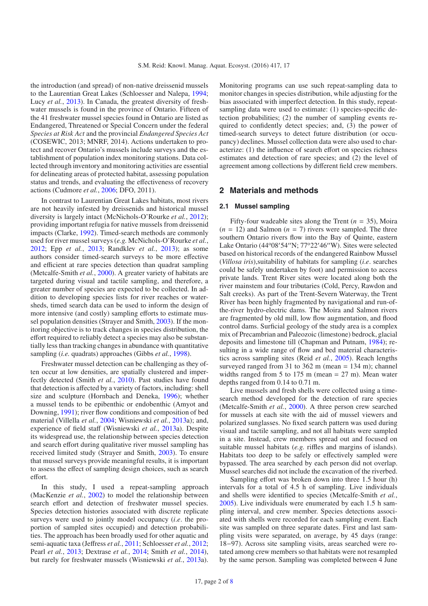the introduction (and spread) of non-native dreissenid mussels to the Laurentian Great Lakes (Schloesser and Nalepa, [1994](#page-7-2); Lucy *et al.*, [2013](#page-7-3)). In Canada, the greatest diversity of freshwater mussels is found in the province of Ontario. Fifteen of the 41 freshwater mussel species found in Ontario are listed as Endangered, Threatened or Special Concern under the federal *Species at Risk Act* and the provincial *Endangered Species Act* (COSEWIC, 2013; MNRF, 2014). Actions undertaken to protect and recover Ontario's mussels include surveys and the establishment of population index monitoring stations. Data collected through inventory and monitoring activities are essential for delineating areas of protected habitat, assessing population status and trends, and evaluating the effectiveness of recovery actions (Cudmore *et al.*, [2006;](#page-6-1) DFO, 2011).

In contrast to Laurentian Great Lakes habitats, most rivers are not heavily infested by dreissenids and historical mussel diversity is largely intact (McNichols-O'Rourke *et al.*, [2012\)](#page-7-4); providing important refugia for native mussels from dreissenid impacts (Clarke, [1992\)](#page-6-2). Timed-search methods are commonly used for river mussel surveys (*e.g.* McNichols-O'Rourke *et al.*, [2012;](#page-7-4) Epp *et al.*, [2013](#page-6-3); Randklev *et al.*, [2013\)](#page-7-5); as some authors consider timed-search surveys to be more effective and efficient at rare species detection than quadrat sampling (Metcalfe-Smith *et al.*, [2000\)](#page-7-6). A greater variety of habitats are targeted during visual and tactile sampling, and therefore, a greater number of species are expected to be collected. In addition to developing species lists for river reaches or watersheds, timed search data can be used to inform the design of more intensive (and costly) sampling efforts to estimate mussel population densities (Strayer and Smith, [2003\)](#page-7-7). If the monitoring objective is to track changes in species distribution, the effort required to reliably detect a species may also be substantially less than tracking changes in abundance with quantitative sampling (*i.e.* quadrats) approaches (Gibbs *et al.*, [1998\)](#page-6-4).

Freshwater mussel detection can be challenging as they often occur at low densities, are spatially clustered and imperfectly detected (Smith *et al.*, [2010\)](#page-7-8). Past studies have found that detection is affected by a variety of factors, including: shell size and sculpture (Hornbach and Deneka, [1996\)](#page-6-5); whether a mussel tends to be epibenthic or endobenthic (Amyot and Downing, [1991](#page-6-6)); river flow conditions and composition of bed material (Villella *et al.*, [2004](#page-7-9); Wisniewski *et al.*, [2013a](#page-7-10)); and, experience of field staff (Wisniewski *et al.*, [2013a](#page-7-10)). Despite its widespread use, the relationship between species detection and search effort during qualitative river mussel sampling has received limited study (Strayer and Smith, [2003\)](#page-7-7). To ensure that mussel surveys provide meaningful results, it is important to assess the effect of sampling design choices, such as search effort.

In this study, I used a repeat-sampling approach (MacKenzie *et al.*, [2002\)](#page-7-11) to model the relationship between search effort and detection of freshwater mussel species. Species detection histories associated with discrete replicate surveys were used to jointly model occupancy (*i*.*e*. the proportion of sampled sites occupied) and detection probabilities. The approach has been broadly used for other aquatic and semi-aquatic taxa (Jeffress *et al.*, [2011;](#page-7-12) Schloesser *et al.*, [2012](#page-7-13); Pearl *et al.*, [2013;](#page-7-14) Dextrase *et al.*, [2014](#page-6-7); Smith *et al.*, [2014](#page-7-15)), but rarely for freshwater mussels (Wisniewski *et al.*, [2013a](#page-7-10)).

Monitoring programs can use such repeat-sampling data to monitor changes in species distribution, while adjusting for the bias associated with imperfect detection. In this study, repeatsampling data were used to estimate: (1) species-specific detection probabilities; (2) the number of sampling events required to confidently detect species; and, (3) the power of timed-search surveys to detect future distribution (or occupancy) declines. Mussel collection data were also used to characterize: (1) the influence of search effort on species richness estimates and detection of rare species; and (2) the level of agreement among collections by different field crew members.

# **2 Materials and methods**

#### **2.1 Mussel sampling**

Fifty-four wadeable sites along the Trent  $(n = 35)$ , Moira  $(n = 12)$  and Salmon  $(n = 7)$  rivers were sampled. The three southern Ontario rivers flow into the Bay of Quinte, eastern Lake Ontario (44°08'54"N; 77°22'46"W). Sites were selected based on historical records of the endangered Rainbow Mussel (*Villosa iris*),suitability of habitats for sampling (*i*.*e*. searches could be safely undertaken by foot) and permission to access private lands. Trent River sites were located along both the river mainstem and four tributaries (Cold, Percy, Rawdon and Salt creeks). As part of the Trent-Severn Waterway, the Trent River has been highly fragmented by navigational and run-ofthe-river hydro-electric dams. The Moira and Salmon rivers are fragmented by old mill, low flow augmentation, and flood control dams. Surficial geology of the study area is a complex mix of Precambrian and Paleozoic (limestone) bedrock, glacial deposits and limestone till (Chapman and Putnam, [1984\)](#page-6-8); resulting in a wide range of flow and bed material characteristics across sampling sites (Reid *et al.*, [2005\)](#page-7-16). Reach lengths surveyed ranged from 31 to 362 m (mean = 134 m); channel widths ranged from 5 to 175 m (mean  $= 27$  m). Mean water depths ranged from 0.14 to 0.71 m.

Live mussels and fresh shells were collected using a timesearch method developed for the detection of rare species (Metcalfe-Smith *et al.*, [2000\)](#page-7-6). A three person crew searched for mussels at each site with the aid of mussel viewers and polarized sunglasses. No fixed search pattern was used during visual and tactile sampling, and not all habitats were sampled in a site. Instead, crew members spread out and focused on suitable mussel habitats (*e.g.* riffles and margins of islands). Habitats too deep to be safely or effectively sampled were bypassed. The area searched by each person did not overlap. Mussel searches did not include the excavation of the riverbed.

Sampling effort was broken down into three 1.5 hour (h) intervals for a total of 4.5 h of sampling. Live individuals and shells were identified to species (Metcalfe-Smith *et al.*, [2005\)](#page-7-17). Live individuals were enumerated by each 1.5 h sampling interval, and crew member. Species detections associated with shells were recorded for each sampling event. Each site was sampled on three separate dates. First and last sampling visits were separated, on average, by 45 days (range: 18−97). Across site sampling visits, areas searched were rotated among crew members so that habitats were not resampled by the same person. Sampling was completed between 4 June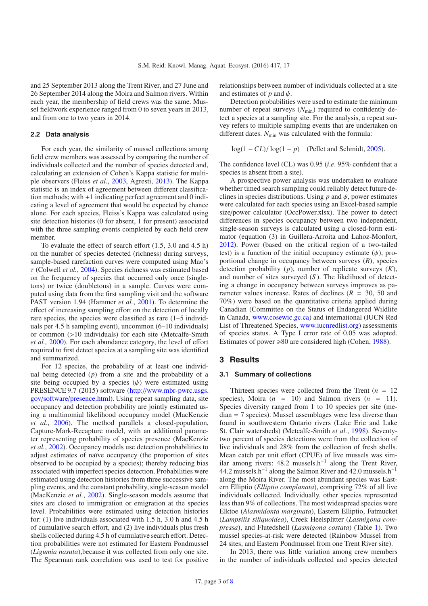and 25 September 2013 along the Trent River, and 27 June and 26 September 2014 along the Moira and Salmon rivers. Within each year, the membership of field crews was the same. Mussel fieldwork experience ranged from 0 to seven years in 2013, and from one to two years in 2014.

#### **2.2 Data analysis**

For each year, the similarity of mussel collections among field crew members was assessed by comparing the number of individuals collected and the number of species detected and, calculating an extension of Cohen's Kappa statistic for multiple observers (Fleiss *et al.*, [2003,](#page-6-9) Agresti, [2013](#page-6-10)). The Kappa statistic is an index of agreement between different classification methods; with +1 indicating perfect agreement and 0 indicating a level of agreement that would be expected by chance alone. For each species, Fleiss's Kappa was calculated using site detection histories (0 for absent, 1 for present) associated with the three sampling events completed by each field crew member.

To evaluate the effect of search effort (1.5, 3.0 and 4.5 h) on the number of species detected (richness) during surveys, sample-based rarefaction curves were computed using Mao's τ (Colwell *et al.*, [2004](#page-6-11)). Species richness was estimated based on the frequency of species that occurred only once (singletons) or twice (doubletons) in a sample. Curves were computed using data from the first sampling visit and the software PAST version 1.94 (Hammer *et al.*, [2001\)](#page-6-12). To determine the effect of increasing sampling effort on the detection of locally rare species, the species were classified as rare (1–5 individuals per 4.5 h sampling event), uncommon (6–10 individuals) or common (>10 individuals) for each site (Metcalfe-Smith *et al.,* [2000\)](#page-7-6). For each abundance category, the level of effort required to first detect species at a sampling site was identified and summarized.

For 12 species, the probability of at least one individual being detected  $(p)$  from a site and the probability of a site being occupied by a species  $(\psi)$  were estimated using PRESENCE 9.7 (2015) software (http://[www.mbr-pwrc.usgs.](http://www.mbr-pwrc.usgs.gov/software/presence.html) gov/software/[presence.html\)](http://www.mbr-pwrc.usgs.gov/software/presence.html). Using repeat sampling data, site occupancy and detection probability are jointly estimated using a multinomial likelihood occupancy model (MacKenzie *et al.*, [2006](#page-7-19)). The method parallels a closed-population, Capture-Mark-Recapture model, with an additional parameter representing probability of species presence (MacKenzie *et al.*, [2002\)](#page-7-11). Occupancy models use detection probabilities to adjust estimates of naïve occupancy (the proportion of sites observed to be occupied by a species); thereby reducing bias associated with imperfect species detection. Probabilities were estimated using detection histories from three successive sampling events, and the constant probability, single-season model (MacKenzie *et al.*, [2002\)](#page-7-11). Single-season models assume that sites are closed to immigration or emigration at the species level. Probabilities were estimated using detection histories for: (1) live individuals associated with 1.5 h, 3.0 h and 4.5 h of cumulative search effort, and (2) live individuals plus fresh shells collected during 4.5 h of cumulative search effort. Detection probabilities were not estimated for Eastern Pondmussel (*Ligumia nasuta*),because it was collected from only one site. The Spearman rank correlation was used to test for positive

relationships between number of individuals collected at a site and estimates of  $p$  and  $\psi$ .

Detection probabilities were used to estimate the minimum number of repeat surveys ( $N_{\text{min}}$ ) required to confidently detect a species at a sampling site. For the analysis, a repeat survey refers to multiple sampling events that are undertaken on different dates.  $N_{\text{min}}$  was calculated with the formula:

$$
\log(1 - CL) / \log(1 - p)
$$
 (Pellet and Schmidt, 2005).

The confidence level (CL) was 0.95 (*i*.*e*. 95% confident that a species is absent from a site).

A prospective power analysis was undertaken to evaluate whether timed search sampling could reliably detect future declines in species distributions. Using  $p$  and  $\psi$ , power estimates were calculated for each species using an Excel-based sample size/power calculator (OccPower.xlsx). The power to detect differences in species occupancy between two independent, single-season surveys is calculated using a closed-form estimator (equation (3) in Guillera-Arroita and Lahoz-Monfort, [2012\)](#page-6-13). Power (based on the critical region of a two-tailed test) is a function of the initial occupancy estimate  $(\psi)$ , proportional change in occupancy between surveys (*R*), species detection probability (*p*), number of replicate surveys (*K*), and number of sites surveyed (*S* ). The likelihood of detecting a change in occupancy between surveys improves as parameter values increase. Rates of declines  $(R = 30, 50, 50)$ 70%) were based on the quantitative criteria applied during Canadian (Committee on the Status of Endangered Wildlife in Canada, [www.cosewic.gc.ca\)](www.cosewic.gc.ca) and international (IUCN Red List of Threatened Species, [www.iucnredlist.org\)](www.iucnredlist.org) assessments of species status. A Type I error rate of 0.05 was adopted. Estimates of power  $\geq 80$  are considered high (Cohen, [1988](#page-6-14)).

# **3 Results**

#### **3.1 Summary of collections**

Thirteen species were collected from the Trent  $(n = 12)$ species), Moira  $(n = 10)$  and Salmon rivers  $(n = 11)$ . Species diversity ranged from 1 to 10 species per site (median = 7 species). Mussel assemblages were less diverse than found in southwestern Ontario rivers (Lake Erie and Lake St. Clair watersheds) (Metcalfe-Smith *et al.*, [1998\)](#page-7-1). Seventytwo percent of species detections were from the collection of live individuals and 28% from the collection of fresh shells. Mean catch per unit effort (CPUE) of live mussels was similar among rivers: 48.2 mussels.h−<sup>1</sup> along the Trent River, 44.2 mussels.h−<sup>1</sup> along the Salmon River and 42.0 mussels.h−<sup>1</sup> along the Moira River. The most abundant species was Eastern Elliptio (*Elliptio complanata*), comprising 72% of all live individuals collected. Individually, other species represented less than 9% of collections. The most widespread species were Elktoe (*Alasmidonta marginata*), Eastern Elliptio, Fatmucket (*Lampsilis siliquoidea*), Creek Heelsplitter (*Lasmigona compressa*), and Flutedshell (*Lasmigona costata*) (Table [1\)](#page-3-0). Two mussel species-at-risk were detected (Rainbow Mussel from 24 sites, and Eastern Pondmussel from one Trent River site).

In 2013, there was little variation among crew members in the number of individuals collected and species detected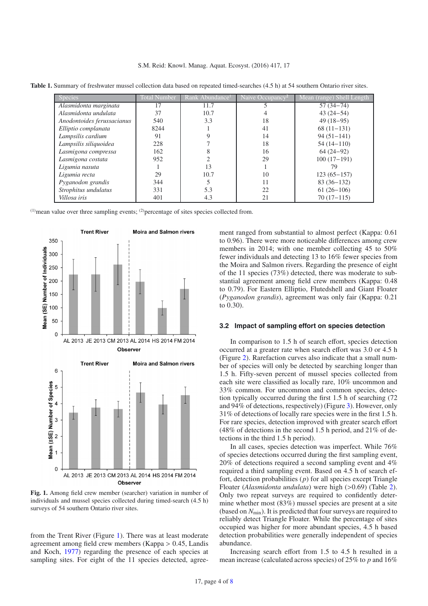| <b>Species</b>             | Total Number | Rank Abundance <sup>1</sup> | Naive Occupancy <sup>2</sup> | Mean (range) Shell Length |
|----------------------------|--------------|-----------------------------|------------------------------|---------------------------|
| Alasmidonta marginata      | 17           | 11.7                        |                              | $57(34 - 74)$             |
| Alasmidonta undulata       | 37           | 10.7                        |                              | $43(24-54)$               |
| Anodontoides ferussacianus | 540          | 3.3                         | 18                           | $49(18-95)$               |
| Elliptio complanata        | 8244         |                             | 41                           | $68(11-131)$              |
| Lampsilis cardium          | 91           |                             | 14                           | $94(51-141)$              |
| Lampsilis siliquoidea      | 228          |                             | 18                           | $54(14-110)$              |
| Lasmigona compressa        | 162          |                             | 16                           | $64(24-92)$               |
| Lasmigona costata          | 952          |                             | 29                           | $100(17-191)$             |
| Ligumia nasuta             |              | 13                          |                              | 79                        |
| Ligumia recta              | 29           | 10.7                        | 10                           | $123(65 - 157)$           |
| Pyganodon grandis          | 344          |                             | 11                           | $83(36-132)$              |
| Strophitus undulatus       | 331          | 5.3                         | 22                           | $61(26-106)$              |
| Villosa iris               | 401          | 4.3                         | 21                           | $70(17-115)$              |

<span id="page-3-0"></span>**Table 1.** Summary of freshwater mussel collection data based on repeated timed-searches (4.5 h) at 54 southern Ontario river sites.

 $(1)$  mean value over three sampling events;  $(2)$  percentage of sites species collected from.



<span id="page-3-1"></span>**Fig. 1.** Among field crew member (searcher) variation in number of individuals and mussel species collected during timed-search (4.5 h) surveys of 54 southern Ontario river sites.

from the Trent River (Figure [1\)](#page-3-1). There was at least moderate agreement among field crew members (Kappa > 0.45, Landis and Koch, [1977](#page-7-21)) regarding the presence of each species at sampling sites. For eight of the 11 species detected, agreement ranged from substantial to almost perfect (Kappa: 0.61 to 0.96). There were more noticeable differences among crew members in 2014; with one member collecting 45 to 50% fewer individuals and detecting 13 to 16% fewer species from the Moira and Salmon rivers. Regarding the presence of eight of the 11 species (73%) detected, there was moderate to substantial agreement among field crew members (Kappa: 0.48 to 0.79). For Eastern Elliptio, Flutedshell and Giant Floater (*Pyganodon grandis*), agreement was only fair (Kappa: 0.21 to 0.30).

### **3.2 Impact of sampling effort on species detection**

In comparison to 1.5 h of search effort, species detection occurred at a greater rate when search effort was 3.0 or 4.5 h (Figure [2\)](#page-4-0). Rarefaction curves also indicate that a small number of species will only be detected by searching longer than 1.5 h. Fifty-seven percent of mussel species collected from each site were classified as locally rare, 10% uncommon and 33% common. For uncommon and common species, detection typically occurred during the first 1.5 h of searching (72 and 94% of detections, respectively) (Figure [3\)](#page-4-1). However, only 31% of detections of locally rare species were in the first 1.5 h. For rare species, detection improved with greater search effort (48% of detections in the second 1.5 h period, and 21% of detections in the third 1.5 h period).

In all cases, species detection was imperfect. While 76% of species detections occurred during the first sampling event, 20% of detections required a second sampling event and 4% required a third sampling event. Based on 4.5 h of search effort, detection probabilities (*p*) for all species except Triangle Floater (*Alasmidonta undulata*) were high (>0.69) (Table [2\)](#page-5-0). Only two repeat surveys are required to confidently determine whether most (83%) mussel species are present at a site (based on *N*min). It is predicted that four surveys are required to reliably detect Triangle Floater. While the percentage of sites occupied was higher for more abundant species, 4.5 h based detection probabilities were generally independent of species abundance.

Increasing search effort from 1.5 to 4.5 h resulted in a mean increase (calculated across species) of 25% to *p* and 16%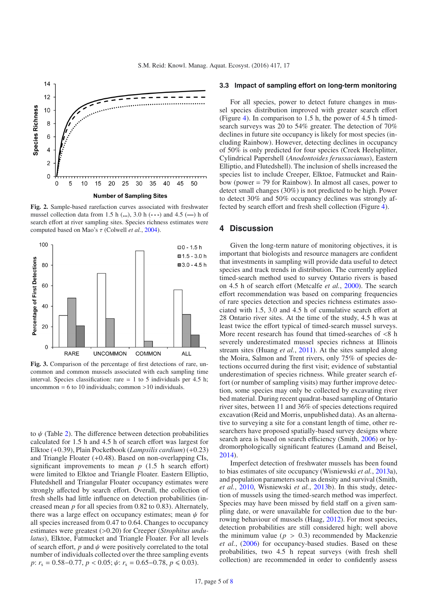<span id="page-4-0"></span>

**Fig. 2.** Sample-based rarefaction curves associated with freshwater mussel collection data from 1.5 h (**...**), 3.0 h (**---**) and 4.5 (**—**) h of search effort at river sampling sites. Species richness estimates were computed based on Mao's τ (Colwell *et al.*, [2004](#page-6-11)).

<span id="page-4-1"></span>

**Fig. 3.** Comparison of the percentage of first detections of rare, uncommon and common mussels associated with each sampling time interval. Species classification: rare  $= 1$  to 5 individuals per 4.5 h; uncommon  $= 6$  to 10 individuals; common  $>10$  individuals.

to  $\psi$  (Table [2\)](#page-5-0). The difference between detection probabilities calculated for 1.5 h and 4.5 h of search effort was largest for Elktoe (+0.39), Plain Pocketbook (*Lampsilis cardium*) (+0.23) and Triangle Floater (+0.48). Based on non-overlapping CIs, significant improvements to mean  $p(1.5)$  h search effort) were limited to Elktoe and Triangle Floater. Eastern Elliptio, Flutedshell and Triangular Floater occupancy estimates were strongly affected by search effort. Overall, the collection of fresh shells had little influence on detection probabilities (increased mean *p* for all species from 0.82 to 0.83). Alternately, there was a large effect on occupancy estimates; mean  $\psi$  for all species increased from 0.47 to 0.64. Changes to occupancy estimates were greatest (>0.20) for Creeper (*Strophitus undulatus*), Elktoe, Fatmucket and Triangle Floater. For all levels of search effort,  $p$  and  $\psi$  were positively correlated to the total number of individuals collected over the three sampling events *p*: *r*<sub>s</sub> = 0.58–0.77, *p* < 0.05;  $\psi$ : *r*<sub>s</sub> = 0.65–0.78, *p* ≤ 0.03).

#### **3.3 Impact of sampling effort on long-term monitoring**

For all species, power to detect future changes in mussel species distribution improved with greater search effort (Figure [4\)](#page-5-1). In comparison to 1.5 h, the power of 4.5 h timedsearch surveys was 20 to 54% greater. The detection of 70% declines in future site occupancy is likely for most species (including Rainbow). However, detecting declines in occupancy of 50% is only predicted for four species (Creek Heelsplitter, Cylindrical Papershell (*Anodontoides ferussacianus*), Eastern Elliptio, and Flutedshell). The inclusion of shells increased the species list to include Creeper, Elktoe, Fatmucket and Rainbow (power = 79 for Rainbow). In almost all cases, power to detect small changes (30%) is not predicted to be high. Power to detect 30% and 50% occupancy declines was strongly affected by search effort and fresh shell collection (Figure [4\)](#page-5-1).

# **4 Discussion**

Given the long-term nature of monitoring objectives, it is important that biologists and resource managers are confident that investments in sampling will provide data useful to detect species and track trends in distribution. The currently applied timed-search method used to survey Ontario rivers is based on 4.5 h of search effort (Metcalfe *et al.*, [2000\)](#page-7-6). The search effort recommendation was based on comparing frequencies of rare species detection and species richness estimates associated with 1.5, 3.0 and 4.5 h of cumulative search effort at 28 Ontario river sites. At the time of the study, 4.5 h was at least twice the effort typical of timed-search mussel surveys. More recent research has found that timed-searches of <8 h severely underestimated mussel species richness at Illinois stream sites (Huang *et al.*, [2011\)](#page-6-15). At the sites sampled along the Moira, Salmon and Trent rivers, only 75% of species detections occurred during the first visit; evidence of substantial underestimation of species richness. While greater search effort (or number of sampling visits) may further improve detection, some species may only be collected by excavating river bed material. During recent quadrat-based sampling of Ontario river sites, between 11 and 36% of species detections required excavation (Reid and Morris, unpublished data). As an alternative to surveying a site for a constant length of time, other researchers have proposed spatially-based survey designs where search area is based on search efficiency (Smith, [2006\)](#page-7-22) or hydromorphologically significant features (Lamand and Beisel, [2014\)](#page-7-23).

Imperfect detection of freshwater mussels has been found to bias estimates of site occupancy (Wisniewski *et al.*, [2013a](#page-7-10)), and population parameters such as density and survival (Smith, *et al.*, [2010,](#page-7-8) Wisniewski *et al.*, [2013b](#page-7-10)). In this study, detection of mussels using the timed-search method was imperfect. Species may have been missed by field staff on a given sampling date, or were unavailable for collection due to the burrowing behaviour of mussels (Haag, [2012](#page-6-0)). For most species, detection probabilities are still considered high; well above the minimum value ( $p > 0.3$ ) recommended by Mackenzie *et al.*, [\(2006\)](#page-7-19) for occupancy-based studies. Based on these probabilities, two 4.5 h repeat surveys (with fresh shell collection) are recommended in order to confidently assess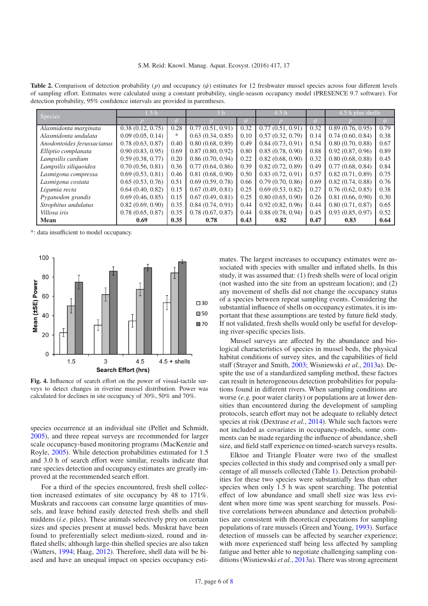<span id="page-5-0"></span>**Table 2.** Comparison of detection probability ( $p$ ) and occupancy ( $\psi$ ) estimates for 12 freshwater mussel species across four different levels of sampling effort. Estimates were calculated using a constant probability, single-season occupancy model (PRESENCE 9.7 software). For detection probability, 95% confidence intervals are provided in parentheses.

| <b>Species</b>             | 1.5 h            |      |                  |      | 4.5 <sub>h</sub> |      | 4.5 h plus shells |      |
|----------------------------|------------------|------|------------------|------|------------------|------|-------------------|------|
|                            |                  | ıІт  |                  | Ŵ    |                  | ıΙ   |                   | ıІг  |
| Alasmidonta marginata      | 0.38(0.12, 0.75) | 0.28 | 0.77(0.51, 0.91) | 0.32 | 0.77(0.51, 0.91) | 0.32 | 0.89(0.76, 0.95)  | 0.79 |
| Alasmidonta undulata       | 0.09(0.05, 0.14) | *    | 0.63(0.34, 0.85) | 0.10 | 0.57(0.32, 0.79) | 0.14 | 0.74(0.60, 0.84)  | 0.38 |
| Anodontoides ferussacianus | 0.78(0.63, 0.87) | 0.40 | 0.80(0.68, 0.89) | 0.49 | 0.84(0.73, 0.91) | 0.54 | 0.80(0.70, 0.88)  | 0.67 |
| Elliptio complanata        | 0.90(0.83, 0.95) | 0.69 | 0.87(0.80, 0.92) | 0.80 | 0.85(0.78, 0.90) | 0.88 | 0.92(0.87, 0.96)  | 0.89 |
| Lampsilis cardium          | 0.59(0.38, 0.77) | 0.20 | 0.86(0.70, 0.94) | 0.22 | 0.82(0.68, 0.90) | 0.32 | 0.80(0.68, 0.88)  | 0.45 |
| Lampsilis siliquoidea      | 0.70(0.56, 0.81) | 0.36 | 0.77(0.64, 0.86) | 0.39 | 0.82(0.72, 0.89) | 0.49 | 0.77(0.68, 0.84)  | 0.84 |
| Lasmigona compressa        | 0.69(0.53, 0.81) | 0.46 | 0.81(0.68, 0.90) | 0.50 | 0.83(0.72, 0.91) | 0.57 | 0.82(0.71, 0.89)  | 0.75 |
| Lasmigona costata          | 0.65(0.53, 0.76) | 0.51 | 0.69(0.59, 0.78) | 0.66 | 0.79(0.70, 0.86) | 0.69 | 0.82(0.74, 0.88)  | 0.76 |
| Ligumia recta              | 0.64(0.40, 0.82) | 0.15 | 0.67(0.49, 0.81) | 0.25 | 0.69(0.53, 0.82) | 0.27 | 0.76(0.62, 0.85)  | 0.38 |
| Pyganodon grandis          | 0.69(0.46, 0.85) | 0.15 | 0.67(0.49, 0.81) | 0.25 | 0.80(0.65, 0.90) | 0.26 | 0.81(0.66, 0.90)  | 0.30 |
| Strophitus undulatus       | 0.82(0.69, 0.90) | 0.35 | 0.84(0.74, 0.91) | 0.44 | 0.92(0.82, 0.96) | 0.44 | 0.80(0.71, 0.87)  | 0.65 |
| Villosa iris               | 0.78(0.65, 0.87) | 0.35 | 0.78(0.67, 0.87) | 0.44 | 0.88(0.78, 0.94) | 0.45 | 0.93(0.85, 0.97)  | 0.52 |
| Mean                       | 0.69             | 0.35 | 0.78             | 0.43 | 0.82             | 0.47 | 0.83              | 0.64 |

\*: data insufficient to model occupancy.

<span id="page-5-1"></span>

**Fig. 4.** Influence of search effort on the power of visual-tactile surveys to detect changes in riverine mussel distribution. Power was calculated for declines in site occupancy of 30%, 50% and 70%.

species occurrence at an individual site (Pellet and Schmidt, [2005\)](#page-7-20), and three repeat surveys are recommended for larger scale occupancy-based monitoring programs (MacKenzie and Royle, [2005\)](#page-7-24). While detection probabilities estimated for 1.5 and 3.0 h of search effort were similar, results indicate that rare species detection and occupancy estimates are greatly improved at the recommended search effort.

For a third of the species encountered, fresh shell collection increased estimates of site occupancy by 48 to 171%. Muskrats and raccoons can consume large quantities of mussels, and leave behind easily detected fresh shells and shell middens (*i*.*e*. piles). These animals selectively prey on certain sizes and species present at mussel beds. Muskrat have been found to preferentially select medium-sized, round and inflated shells; although large-thin shelled species are also taken (Watters, [1994;](#page-7-25) Haag, [2012\)](#page-6-0). Therefore, shell data will be biased and have an unequal impact on species occupancy estimates. The largest increases to occupancy estimates were associated with species with smaller and inflated shells. In this study, it was assumed that: (1) fresh shells were of local origin (not washed into the site from an upstream location); and (2) any movement of shells did not change the occupancy status of a species between repeat sampling events. Considering the substantial influence of shells on occupancy estimates, it is important that these assumptions are tested by future field study. If not validated, fresh shells would only be useful for developing river-specific species lists.

Mussel surveys are affected by the abundance and biological characteristics of species in mussel beds, the physical habitat conditions of survey sites, and the capabilities of field staff (Strayer and Smith, [2003;](#page-7-7) Wisniewski *et al.*, [2013a](#page-7-10)). Despite the use of a standardized sampling method, these factors can result in heterogeneous detection probabilities for populations found in different rivers. When sampling conditions are worse (*e.g.* poor water clarity) or populations are at lower densities than encountered during the development of sampling protocols, search effort may not be adequate to reliably detect species at risk (Dextrase *et al.*, [2014\)](#page-6-7). While such factors were not included as covariates in occupancy-models, some comments can be made regarding the influence of abundance, shell size, and field staff experience on timed-search surveys results.

Elktoe and Triangle Floater were two of the smallest species collected in this study and comprised only a small percentage of all mussels collected (Table [1\)](#page-3-0). Detection probabilities for these two species were substantially less than other species when only 1.5 h was spent searching. The potential effect of low abundance and small shell size was less evident when more time was spent searching for mussels. Positive correlations between abundance and detection probabilities are consistent with theoretical expectations for sampling populations of rare mussels (Green and Young, [1993](#page-6-16)). Surface detection of mussels can be affected by searcher experience; with more experienced staff being less affected by sampling fatigue and better able to negotiate challenging sampling conditions (Wisniewski *et al.*, [2013a](#page-7-10)). There was strong agreement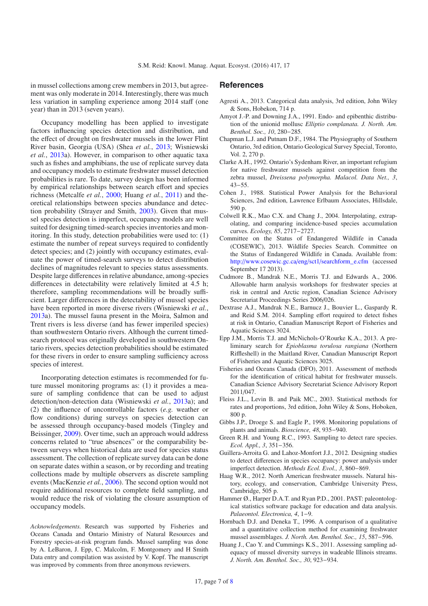in mussel collections among crew members in 2013, but agreement was only moderate in 2014. Interestingly, there was much less variation in sampling experience among 2014 staff (one year) than in 2013 (seven years).

Occupancy modelling has been applied to investigate factors influencing species detection and distribution, and the effect of drought on freshwater mussels in the lower Flint River basin, Georgia (USA) (Shea *et al.*, [2013;](#page-7-26) Wisniewski *et al.*, [2013a](#page-7-10)). However, in comparison to other aquatic taxa such as fishes and amphibians, the use of replicate survey data and occupancy models to estimate freshwater mussel detection probabilities is rare. To date, survey design has been informed by empirical relationships between search effort and species richness (Metcalfe *et al.*, [2000;](#page-7-6) Huang *et al.*, [2011\)](#page-6-15) and theoretical relationships between species abundance and detection probability (Strayer and Smith, [2003\)](#page-7-7). Given that mussel species detection is imperfect, occupancy models are well suited for designing timed-search species inventories and monitoring. In this study, detection probabilities were used to: (1) estimate the number of repeat surveys required to confidently detect species; and (2) jointly with occupancy estimates, evaluate the power of timed-search surveys to detect distribution declines of magnitudes relevant to species status assessments. Despite large differences in relative abundance, among-species differences in detectability were relatively limited at 4.5 h; therefore, sampling recommendations will be broadly sufficient. Larger differences in the detectability of mussel species have been reported in more diverse rivers (Wisniewski *et al.*, [2013a](#page-7-10)). The mussel fauna present in the Moira, Salmon and Trent rivers is less diverse (and has fewer imperiled species) than southwestern Ontario rivers. Although the current timedsearch protocol was originally developed in southwestern Ontario rivers, species detection probabilities should be estimated for these rivers in order to ensure sampling sufficiency across species of interest.

Incorporating detection estimates is recommended for future mussel monitoring programs as: (1) it provides a measure of sampling confidence that can be used to adjust detection/non-detection data (Wisniewski *et al.*, [2013](#page-7-10)a); and (2) the influence of uncontrollable factors (*e.g.* weather or flow conditions) during surveys on species detection can be assessed through occupancy-based models (Tingley and Beissinger, [2009\)](#page-7-27). Over time, such an approach would address concerns related to "true absences" or the comparability between surveys when historical data are used for species status assessment. The collection of replicate survey data can be done on separate dates within a season, or by recording and treating collections made by multiple observers as discrete sampling events (MacKenzie *et al.*, [2006\)](#page-7-19). The second option would not require additional resources to complete field sampling, and would reduce the risk of violating the closure assumption of occupancy models.

*Acknowledgements.* Research was supported by Fisheries and Oceans Canada and Ontario Ministry of Natural Resources and Forestry species-at-risk program funds. Mussel sampling was done by A. LeBaron, J. Epp, C. Malcolm, F. Montgomery and H Smith Data entry and compilation was assisted by V. Kopf. The manuscript was improved by comments from three anonymous reviewers.

# **References**

- <span id="page-6-10"></span>Agresti A., 2013. Categorical data analysis, 3rd edition, John Wiley & Sons, Hobekon, 714 p.
- <span id="page-6-6"></span>Amyot J.-P. and Downing J.A., 1991. Endo- and epibenthic distribution of the unionid mollusc *Elliptio complanata. J. North. Am. Benthol. Soc., 10*, 280−285.
- <span id="page-6-8"></span>Chapman L.J. and Putnam D.F., 1984. The Physiography of Southern Ontario, 3rd edition, Ontario Geological Survey Special, Toronto, Vol. 2, 270 p.
- <span id="page-6-2"></span>Clarke A.H., 1992. Ontario's Sydenham River, an important refugium for native freshwater mussels against competition from the zebra mussel, *Dreissena polymorpha. Malacol. Data Net., 3*, 43−55.
- <span id="page-6-14"></span>Cohen J., 1988. Statistical Power Analysis for the Behavioral Sciences, 2nd edition, Lawrence Erlbaum Associates, Hillsdale, 590 p.
- <span id="page-6-11"></span>Colwell R.K., Mao C.X. and Chang J., 2004. Interpolating, extrapolating, and comparing incidence-based species accumulation curves. *Ecology, 85*, 2717−2727.
- Committee on the Status of Endangered Wildlife in Canada (COSEWIC), 2013. Wildlife Species Search. Committee on the Status of Endangered Wildlife in Canada. Available from: http://[www.cosewic.gc.ca](http://www.cosewic.gc.ca/eng/sct1/searchform_e.cfm)/eng/sct1/searchform\_e.cfm (accessed September 17 2013).
- <span id="page-6-1"></span>Cudmore B., Mandrak N.E., Morris T.J. and Edwards A., 2006. Allowable harm analysis workshops for freshwater species at risk in central and Arctic region, Canadian Science Advisory Secretariat Proceedings Series 2006/026.
- <span id="page-6-7"></span>Dextrase A.J., Mandrak N.E., Barnucz J., Bouvier L., Gaspardy R. and Reid S.M. 2014. Sampling effort required to detect fishes at risk in Ontario, Canadian Manuscript Report of Fisheries and Aquatic Sciences 3024.
- <span id="page-6-3"></span>Epp J.M., Morris T.J. and McNichols-O'Rourke K.A., 2013. A preliminary search for *Epioblasma torulosa rangiana* (Northern Riffleshell) in the Maitland River, Canadian Manuscript Report of Fisheries and Aquatic Sciences 3025.
- Fisheries and Oceans Canada (DFO), 2011. Assessment of methods for the identification of critical habitat for freshwater mussels. Canadian Science Advisory Secretariat Science Advisory Report 2011/047.
- <span id="page-6-9"></span>Fleiss J.L., Levin B. and Paik MC., 2003. Statistical methods for rates and proportions, 3rd edition, John Wiley & Sons, Hoboken, 800 p.
- <span id="page-6-4"></span>Gibbs J.P., Droege S. and Eagle P., 1998. Monitoring populations of plants and animals. *Bioscience, 48*, 935−940.
- <span id="page-6-16"></span>Green R.H. and Young R.C., 1993. Sampling to detect rare species. *Ecol. Appl., 3*, 351−356.
- <span id="page-6-13"></span>Guillera-Arroita G. and Lahoz-Monfort J.J., 2012. Designing studies to detect differences in species occupancy: power analysis under imperfect detection. *Methods Ecol. Evol., 3*, 860−869.
- <span id="page-6-0"></span>Haag W.R., 2012. North American freshwater mussels. Natural history, ecology, and conservation, Cambridge University Press, Cambridge, 505 p.
- <span id="page-6-12"></span>Hammer Ø., Harper D.A.T. and Ryan P.D., 2001. PAST: paleontological statistics software package for education and data analysis. *Palaeontol. Electronica, 4*, 1−9.
- <span id="page-6-5"></span>Hornbach D.J. and Deneka T., 1996. A comparison of a qualitative and a quantitative collection method for examining freshwater mussel assemblages. *J. North. Am. Benthol. Soc., 15*, 587−596.
- <span id="page-6-15"></span>Huang J., Cao Y. and Cummings K.S., 2011. Assessing sampling adequacy of mussel diversity surveys in wadeable Illinois streams. *J. North. Am. Benthol. Soc., 30*, 923−934.